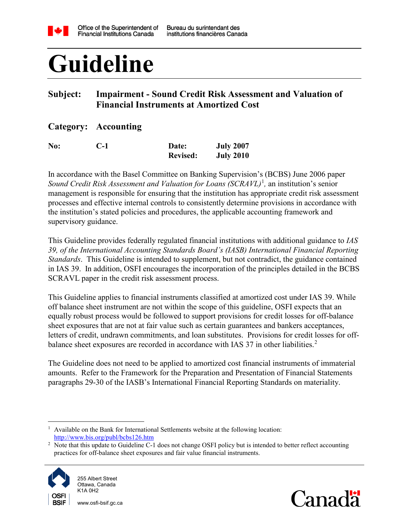

# **Guideline**

# **Subject: Impairment - Sound Credit Risk Assessment and Valuation of Financial Instruments at Amortized Cost**

## **Category: Accounting**

| No: | $C-1$ | Date:           | <b>July 2007</b> |
|-----|-------|-----------------|------------------|
|     |       | <b>Revised:</b> | <b>July 2010</b> |

In accordance with the Basel Committee on Banking Supervision's (BCBS) June 2006 paper *Sound Credit Risk Assessment and Valuation for Loans (SCRAVL)*[1](#page-0-0) *,* an institution's senior management is responsible for ensuring that the institution has appropriate credit risk assessment processes and effective internal controls to consistently determine provisions in accordance with the institution's stated policies and procedures, the applicable accounting framework and supervisory guidance.

This Guideline provides federally regulated financial institutions with additional guidance to *IAS 39, of the International Accounting Standards Board's (IASB) International Financial Reporting Standards*. This Guideline is intended to supplement, but not contradict, the guidance contained in IAS 39. In addition, OSFI encourages the incorporation of the principles detailed in the BCBS SCRAVL paper in the credit risk assessment process.

This Guideline applies to financial instruments classified at amortized cost under IAS 39. While off balance sheet instrument are not within the scope of this guideline, OSFI expects that an equally robust process would be followed to support provisions for credit losses for off-balance sheet exposures that are not at fair value such as certain guarantees and bankers acceptances, letters of credit, undrawn commitments, and loan substitutes. Provisions for credit losses for off-balance sheet exposures are recorded in accordance with IAS 37 in other liabilities.<sup>[2](#page-0-1)</sup>

The Guideline does not need to be applied to amortized cost financial instruments of immaterial amounts. Refer to the Framework for the Preparation and Presentation of Financial Statements paragraphs 29-30 of the IASB's International Financial Reporting Standards on materiality.

<span id="page-0-1"></span><sup>&</sup>lt;sup>2</sup> Note that this update to Guideline C-1 does not change OSFI policy but is intended to better reflect accounting practices for off-balance sheet exposures and fair value financial instruments.



www.osfi-bsif.gc.ca



<span id="page-0-0"></span> <sup>1</sup> Available on the Bank for International Settlements website at the following location: <http://www.bis.org/publ/bcbs126.htm>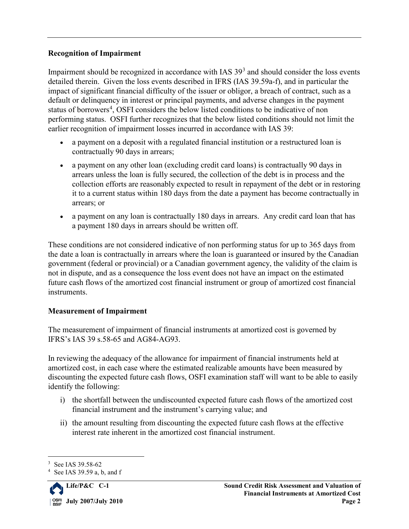#### **Recognition of Impairment**

Impairment should be recognized in accordance with IAS  $39<sup>3</sup>$  $39<sup>3</sup>$  and should consider the loss events detailed therein. Given the loss events described in IFRS (IAS 39.59a-f), and in particular the impact of significant financial difficulty of the issuer or obligor, a breach of contract, such as a default or delinquency in interest or principal payments, and adverse changes in the payment status of borrowers<sup>[4](#page-1-1)</sup>, OSFI considers the below listed conditions to be indicative of non performing status. OSFI further recognizes that the below listed conditions should not limit the earlier recognition of impairment losses incurred in accordance with IAS 39:

- a payment on a deposit with a regulated financial institution or a restructured loan is contractually 90 days in arrears;
- a payment on any other loan (excluding credit card loans) is contractually 90 days in arrears unless the loan is fully secured, the collection of the debt is in process and the collection efforts are reasonably expected to result in repayment of the debt or in restoring it to a current status within 180 days from the date a payment has become contractually in arrears; or
- a payment on any loan is contractually 180 days in arrears. Any credit card loan that has a payment 180 days in arrears should be written off.

These conditions are not considered indicative of non performing status for up to 365 days from the date a loan is contractually in arrears where the loan is guaranteed or insured by the Canadian government (federal or provincial) or a Canadian government agency, the validity of the claim is not in dispute, and as a consequence the loss event does not have an impact on the estimated future cash flows of the amortized cost financial instrument or group of amortized cost financial instruments.

### **Measurement of Impairment**

The measurement of impairment of financial instruments at amortized cost is governed by IFRS's IAS 39 s.58-65 and AG84-AG93.

In reviewing the adequacy of the allowance for impairment of financial instruments held at amortized cost, in each case where the estimated realizable amounts have been measured by discounting the expected future cash flows, OSFI examination staff will want to be able to easily identify the following:

- i) the shortfall between the undiscounted expected future cash flows of the amortized cost financial instrument and the instrument's carrying value; and
- ii) the amount resulting from discounting the expected future cash flows at the effective interest rate inherent in the amortized cost financial instrument.

<span id="page-1-1"></span><span id="page-1-0"></span><sup>4</sup> See IAS 39.59 a, b, and f



<sup>&</sup>lt;sup>3</sup> See IAS 39.58-62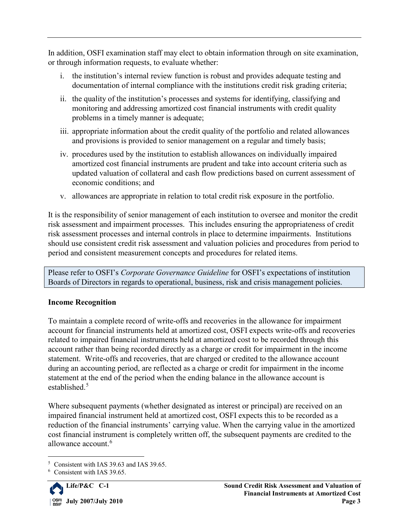In addition, OSFI examination staff may elect to obtain information through on site examination, or through information requests, to evaluate whether:

- i. the institution's internal review function is robust and provides adequate testing and documentation of internal compliance with the institutions credit risk grading criteria;
- ii. the quality of the institution's processes and systems for identifying, classifying and monitoring and addressing amortized cost financial instruments with credit quality problems in a timely manner is adequate;
- iii. appropriate information about the credit quality of the portfolio and related allowances and provisions is provided to senior management on a regular and timely basis;
- iv. procedures used by the institution to establish allowances on individually impaired amortized cost financial instruments are prudent and take into account criteria such as updated valuation of collateral and cash flow predictions based on current assessment of economic conditions; and
- v. allowances are appropriate in relation to total credit risk exposure in the portfolio.

It is the responsibility of senior management of each institution to oversee and monitor the credit risk assessment and impairment processes. This includes ensuring the appropriateness of credit risk assessment processes and internal controls in place to determine impairments. Institutions should use consistent credit risk assessment and valuation policies and procedures from period to period and consistent measurement concepts and procedures for related items.

Please refer to OSFI's *Corporate Governance Guideline* for OSFI's expectations of institution Boards of Directors in regards to operational, business, risk and crisis management policies.

## **Income Recognition**

To maintain a complete record of write-offs and recoveries in the allowance for impairment account for financial instruments held at amortized cost, OSFI expects write-offs and recoveries related to impaired financial instruments held at amortized cost to be recorded through this account rather than being recorded directly as a charge or credit for impairment in the income statement. Write-offs and recoveries, that are charged or credited to the allowance account during an accounting period, are reflected as a charge or credit for impairment in the income statement at the end of the period when the ending balance in the allowance account is established.<sup>[5](#page-2-0)</sup>

Where subsequent payments (whether designated as interest or principal) are received on an impaired financial instrument held at amortized cost, OSFI expects this to be recorded as a reduction of the financial instruments' carrying value. When the carrying value in the amortized cost financial instrument is completely written off, the subsequent payments are credited to the allowance account. [6](#page-2-1)

<span id="page-2-1"></span><span id="page-2-0"></span><sup>6</sup> Consistent with IAS 39.65.



 <sup>5</sup> Consistent with IAS 39.63 and IAS 39.65.